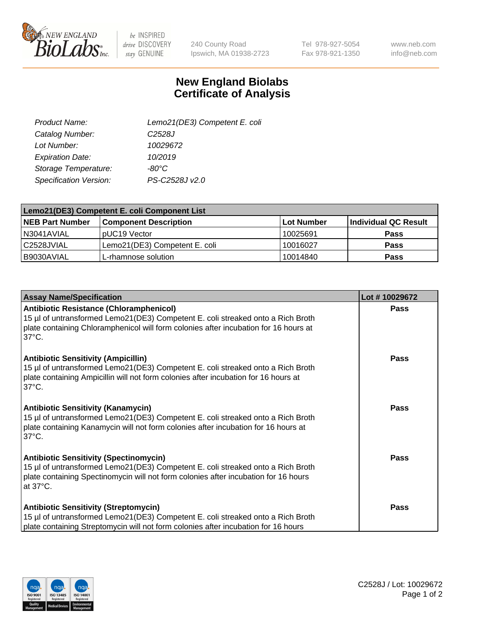

 $be$  INSPIRED drive DISCOVERY stay GENUINE

240 County Road Ipswich, MA 01938-2723 Tel 978-927-5054 Fax 978-921-1350

www.neb.com info@neb.com

## **New England Biolabs Certificate of Analysis**

| Lemo21(DE3) Competent E. coli |
|-------------------------------|
| C <sub>2528</sub> J           |
| 10029672                      |
| 10/2019                       |
| -80°C                         |
| PS-C2528J v2.0                |
|                               |

| Lemo21(DE3) Competent E. coli Component List |                               |                   |                             |  |
|----------------------------------------------|-------------------------------|-------------------|-----------------------------|--|
| <b>NEB Part Number</b>                       | <b>Component Description</b>  | <b>Lot Number</b> | <b>Individual QC Result</b> |  |
| I N3041AVIAL                                 | IpUC19 Vector                 | 10025691          | Pass                        |  |
| C2528JVIAL                                   | Lemo21(DE3) Competent E. coli | 10016027          | <b>Pass</b>                 |  |
| B9030AVIAL                                   | L-rhamnose solution           | 10014840          | <b>Pass</b>                 |  |

| <b>Assay Name/Specification</b>                                                                                                                                                                                                               | Lot #10029672 |
|-----------------------------------------------------------------------------------------------------------------------------------------------------------------------------------------------------------------------------------------------|---------------|
| Antibiotic Resistance (Chloramphenicol)<br>15 µl of untransformed Lemo21(DE3) Competent E. coli streaked onto a Rich Broth<br>plate containing Chloramphenicol will form colonies after incubation for 16 hours at<br>$37^{\circ}$ C.         | <b>Pass</b>   |
| <b>Antibiotic Sensitivity (Ampicillin)</b><br>15 µl of untransformed Lemo21(DE3) Competent E. coli streaked onto a Rich Broth<br>plate containing Ampicillin will not form colonies after incubation for 16 hours at<br>137°C.                | Pass          |
| <b>Antibiotic Sensitivity (Kanamycin)</b><br>15 µl of untransformed Lemo21(DE3) Competent E. coli streaked onto a Rich Broth<br>plate containing Kanamycin will not form colonies after incubation for 16 hours at<br>$37^{\circ}$ C.         | Pass          |
| <b>Antibiotic Sensitivity (Spectinomycin)</b><br>15 µl of untransformed Lemo21(DE3) Competent E. coli streaked onto a Rich Broth<br>plate containing Spectinomycin will not form colonies after incubation for 16 hours<br>at $37^{\circ}$ C. | Pass          |
| <b>Antibiotic Sensitivity (Streptomycin)</b><br>15 µl of untransformed Lemo21(DE3) Competent E. coli streaked onto a Rich Broth<br>plate containing Streptomycin will not form colonies after incubation for 16 hours                         | <b>Pass</b>   |